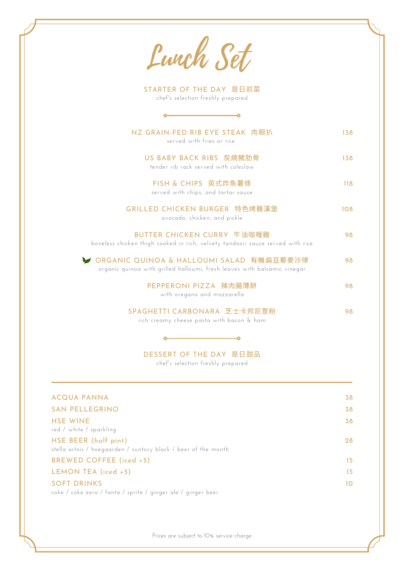| Lunch Set                                                                                                              |     |
|------------------------------------------------------------------------------------------------------------------------|-----|
| STARTER OF THE DAY 是日前菜<br>chef's selection freshly prepared                                                           |     |
|                                                                                                                        |     |
| NZ GRAIN-FED RIB EYE STEAK 肉眼扒<br>served with fries or rice                                                            | 138 |
| US BABY BACK RIBS 炭燒豬肋骨<br>tender rib rack served with coleslaw                                                        | 138 |
| FISH & CHIPS 英式炸魚薯條<br>served with chips, and tartar sauce                                                             | 118 |
| GRILLED CHICKEN BURGER 特色烤雞漢堡<br>avocado, chicken, and pickle                                                          | 108 |
| BUTTER CHICKEN CURRY 牛油咖喱雞<br>boneless chicken thigh cooked in rich, velvety tandoori sauce served with rice           | 98  |
| ● ORGANIC QUINOA & HALLOUMI SALAD 有機扁豆藜麥沙律<br>organic quinoa with grilled halloumi, fresh leaves with balsamic vinegar | 98  |
| PEPPERONI PIZZA 辣肉腸薄餅<br>with oregano and mozzarella                                                                   | 98  |
| SPAGHETTI CARBONARA 芝士卡邦尼意粉<br>rich creamy cheese pasta with bacon & ham                                               | 98  |
|                                                                                                                        |     |
| DESSERT OF THE DAY 是日甜品<br>chef's selection freshly prepared                                                           |     |
| <b>ACQUA PANNA</b>                                                                                                     | 38  |
| <b>SAN PELLEGRINO</b>                                                                                                  | 38  |
| <b>HSE WINE</b><br>red / white / sparkling                                                                             | 38  |
| HSE BEER (half pint)                                                                                                   | 28  |

| BREWED COFFEE (iced +5) |  |  |  |
|-------------------------|--|--|--|
|                         |  |  |  |
|                         |  |  |  |

| LEMON TEA (iced +5) |  |
|---------------------|--|
| SOFT DRINKS         |  |

coke / coke zero / fanta / sprite / ginger ale / ginger beer

Prices are subject to 10% service charge

15 15 10